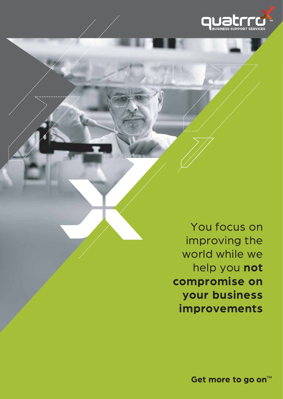

You focus on improving the world while we help you **not compromise on your business improvements**

Get more to go on<sup>™</sup>